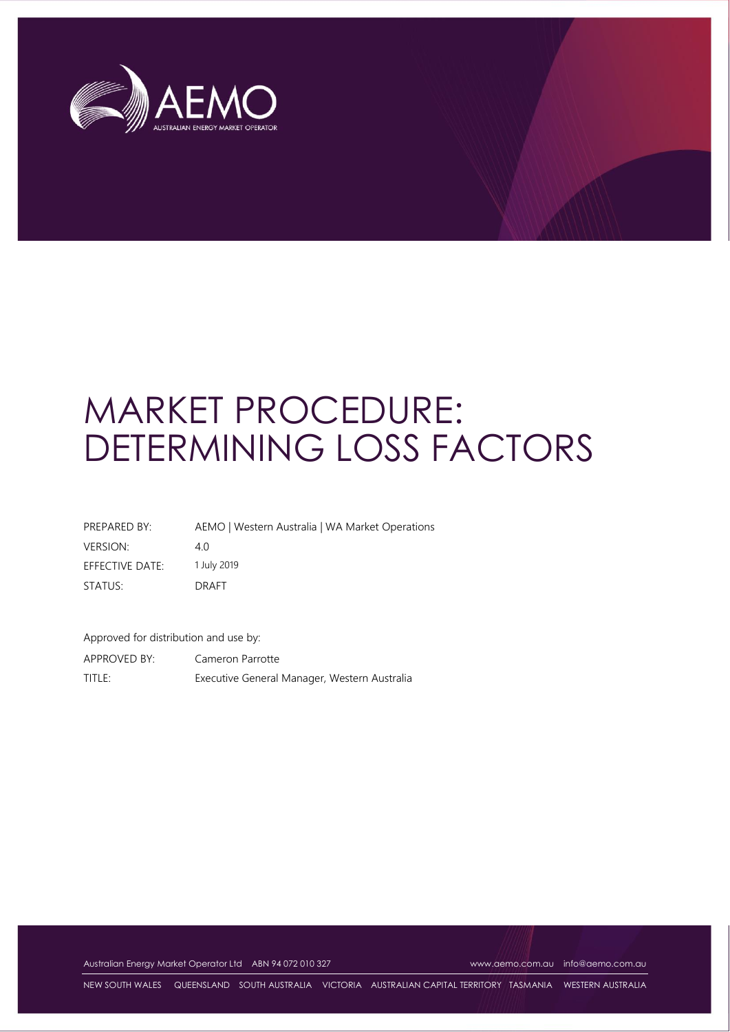

# MARKET PROCEDURE: DETERMINING LOSS FACTORS

| PREPARED BY:    | AEMO   Western Australia   WA Market Operations |
|-----------------|-------------------------------------------------|
| <b>VERSION:</b> | 40                                              |
| EFFECTIVE DATE: | 1 July 2019                                     |
| STATUS:         | <b>DRAFT</b>                                    |

Approved for distribution and use by:

APPROVED BY: Cameron Parrotte TITLE: Executive General Manager, Western Australia

Australian Energy Market Operator Ltd ABN 94 072 010 327 [www.aemo.com.au](http://www.aemo.com.au/) [info@aemo.com.au](mailto:info@aemo.com.au)

NEW SOUTH WALES QUEENSLAND SOUTH AUSTRALIA VICTORIA AUSTRALIAN CAPITAL TERRITORY TASMANIA WESTERN AUSTRALIA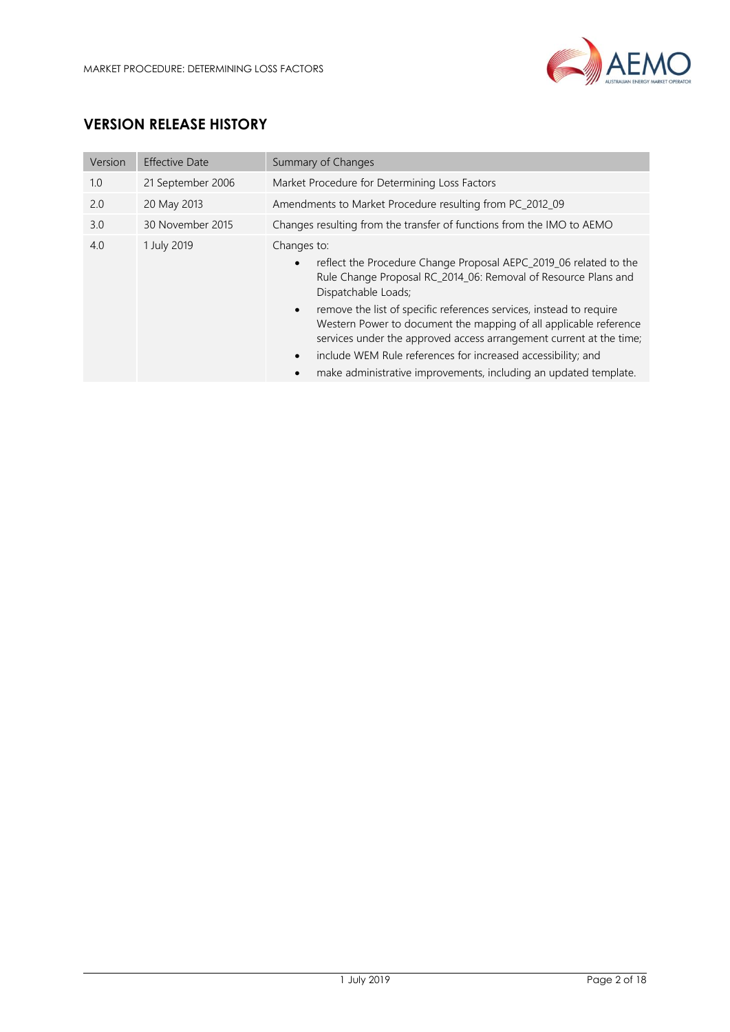

# **VERSION RELEASE HISTORY**

| Version | <b>Effective Date</b> | Summary of Changes                                                                                                                                                                                                                                                                                                                                                                                                                                                                                                                                         |
|---------|-----------------------|------------------------------------------------------------------------------------------------------------------------------------------------------------------------------------------------------------------------------------------------------------------------------------------------------------------------------------------------------------------------------------------------------------------------------------------------------------------------------------------------------------------------------------------------------------|
| 1.0     | 21 September 2006     | Market Procedure for Determining Loss Factors                                                                                                                                                                                                                                                                                                                                                                                                                                                                                                              |
| 2.0     | 20 May 2013           | Amendments to Market Procedure resulting from PC_2012_09                                                                                                                                                                                                                                                                                                                                                                                                                                                                                                   |
| 3.0     | 30 November 2015      | Changes resulting from the transfer of functions from the IMO to AEMO                                                                                                                                                                                                                                                                                                                                                                                                                                                                                      |
| 4.0     | 1 July 2019           | Changes to:<br>reflect the Procedure Change Proposal AEPC_2019_06 related to the<br>Rule Change Proposal RC_2014_06: Removal of Resource Plans and<br>Dispatchable Loads;<br>remove the list of specific references services, instead to require<br>Western Power to document the mapping of all applicable reference<br>services under the approved access arrangement current at the time;<br>include WEM Rule references for increased accessibility; and<br>$\bullet$<br>make administrative improvements, including an updated template.<br>$\bullet$ |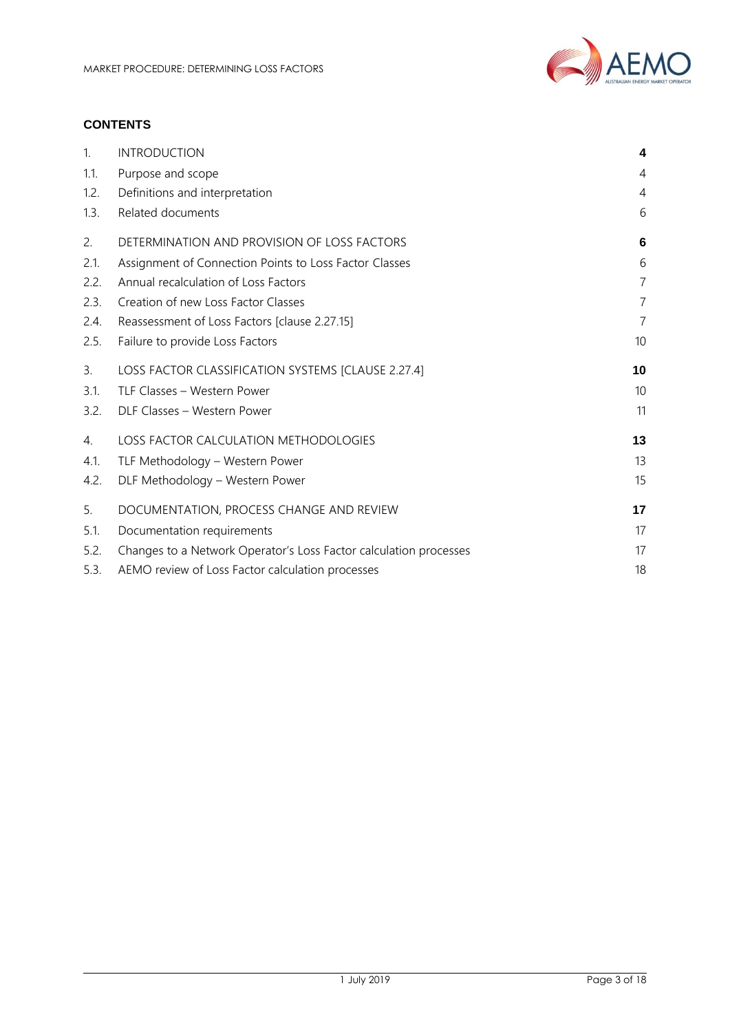

#### **CONTENTS**

| 1.   | <b>INTRODUCTION</b>                                               | 4              |
|------|-------------------------------------------------------------------|----------------|
| 1.1. | Purpose and scope                                                 | 4              |
| 1.2. | Definitions and interpretation                                    | $\overline{4}$ |
| 1.3. | Related documents                                                 | 6              |
| 2.   | DETERMINATION AND PROVISION OF LOSS FACTORS                       | 6              |
| 2.1. | Assignment of Connection Points to Loss Factor Classes            | 6              |
| 2.2. | Annual recalculation of Loss Factors                              | $\overline{7}$ |
| 2.3. | Creation of new Loss Factor Classes                               | $\overline{7}$ |
| 2.4. | Reassessment of Loss Factors [clause 2.27.15]                     | 7              |
| 2.5. | Failure to provide Loss Factors                                   | 10             |
| 3.   | LOSS FACTOR CLASSIFICATION SYSTEMS [CLAUSE 2.27.4]                | 10             |
| 3.1. | TLF Classes - Western Power                                       | 10             |
| 3.2. | DLF Classes - Western Power                                       | 11             |
| 4.   | LOSS FACTOR CALCULATION METHODOLOGIES                             | 13             |
| 4.1. | TLF Methodology - Western Power                                   | 13             |
| 4.2. | DLF Methodology - Western Power                                   | 15             |
| 5.   | DOCUMENTATION, PROCESS CHANGE AND REVIEW                          | 17             |
| 5.1. | Documentation requirements                                        | 17             |
| 5.2. | Changes to a Network Operator's Loss Factor calculation processes | 17             |
| 5.3. | AEMO review of Loss Factor calculation processes                  | 18             |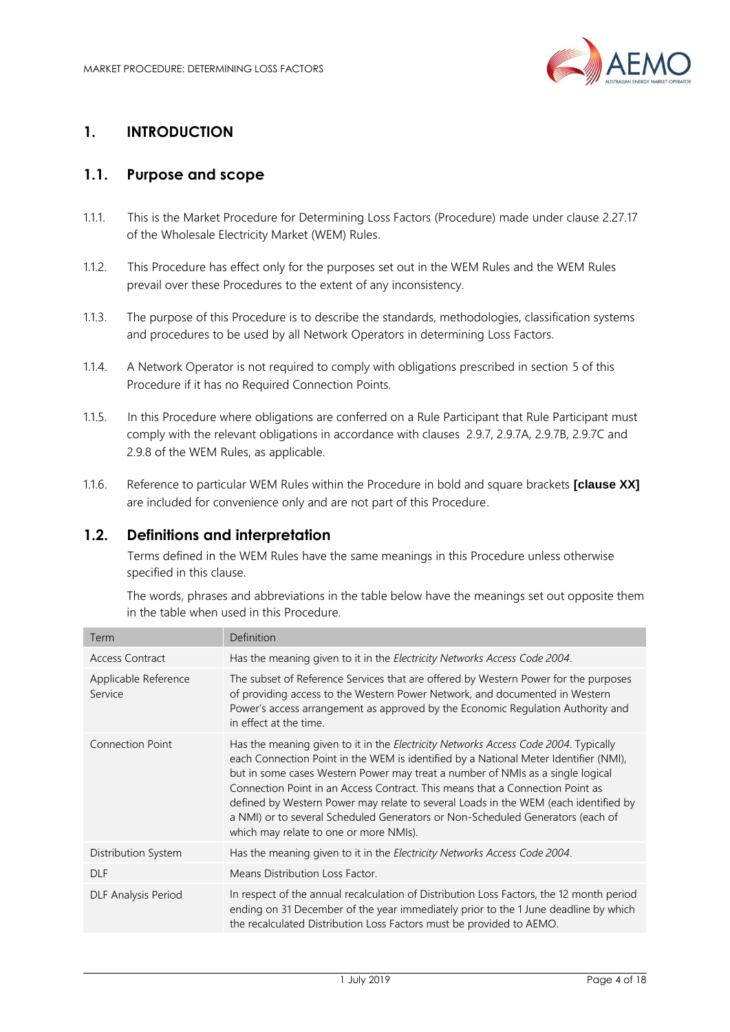

# <span id="page-3-0"></span>**1. INTRODUCTION**

# <span id="page-3-1"></span>**1.1. Purpose and scope**

- 1.1.1. This is the Market Procedure for Determining Loss Factors (Procedure) made under clause 2.27.17 of the Wholesale Electricity Market (WEM) Rules.
- 1.1.2. This Procedure has effect only for the purposes set out in the WEM Rules and the WEM Rules prevail over these Procedures to the extent of any inconsistency.
- 1.1.3. The purpose of this Procedure is to describe the standards, methodologies, classification systems and procedures to be used by all Network Operators in determining Loss Factors.
- 1.1.4. A Network Operator is not required to comply with obligations prescribed in section 5 of this Procedure if it has no Required Connection Points.
- 1.1.5. In this Procedure where obligations are conferred on a Rule Participant that Rule Participant must comply with the relevant obligations in accordance with clauses 2.9.7, 2.9.7A, 2.9.7B, 2.9.7C and 2.9.8 of the WEM Rules, as applicable.
- 1.1.6. Reference to particular WEM Rules within the Procedure in bold and square brackets **[clause XX]**  are included for convenience only and are not part of this Procedure.

#### <span id="page-3-2"></span>**1.2. Definitions and interpretation**

Terms defined in the WEM Rules have the same meanings in this Procedure unless otherwise specified in this clause.

The words, phrases and abbreviations in the table below have the meanings set out opposite them in the table when used in this Procedure.

| Term                            | Definition                                                                                                                                                                                                                                                                                                                                                                                                                                                                                                                                                        |
|---------------------------------|-------------------------------------------------------------------------------------------------------------------------------------------------------------------------------------------------------------------------------------------------------------------------------------------------------------------------------------------------------------------------------------------------------------------------------------------------------------------------------------------------------------------------------------------------------------------|
| <b>Access Contract</b>          | Has the meaning given to it in the Electricity Networks Access Code 2004.                                                                                                                                                                                                                                                                                                                                                                                                                                                                                         |
| Applicable Reference<br>Service | The subset of Reference Services that are offered by Western Power for the purposes<br>of providing access to the Western Power Network, and documented in Western<br>Power's access arrangement as approved by the Economic Regulation Authority and<br>in effect at the time.                                                                                                                                                                                                                                                                                   |
| Connection Point                | Has the meaning given to it in the Electricity Networks Access Code 2004. Typically<br>each Connection Point in the WEM is identified by a National Meter Identifier (NMI),<br>but in some cases Western Power may treat a number of NMIs as a single logical<br>Connection Point in an Access Contract. This means that a Connection Point as<br>defined by Western Power may relate to several Loads in the WEM (each identified by<br>a NMI) or to several Scheduled Generators or Non-Scheduled Generators (each of<br>which may relate to one or more NMIs). |
| Distribution System             | Has the meaning given to it in the Electricity Networks Access Code 2004.                                                                                                                                                                                                                                                                                                                                                                                                                                                                                         |
| <b>DLF</b>                      | Means Distribution Loss Factor.                                                                                                                                                                                                                                                                                                                                                                                                                                                                                                                                   |
| <b>DLF Analysis Period</b>      | In respect of the annual recalculation of Distribution Loss Factors, the 12 month period<br>ending on 31 December of the year immediately prior to the 1 June deadline by which<br>the recalculated Distribution Loss Factors must be provided to AEMO.                                                                                                                                                                                                                                                                                                           |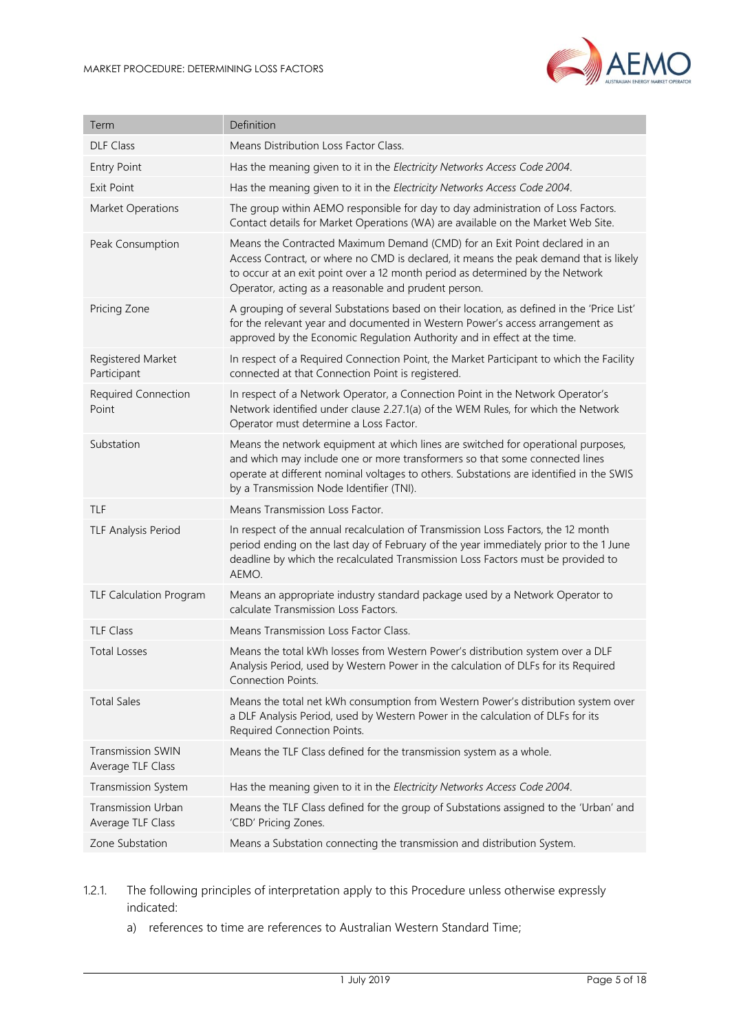

| Term                                           | Definition                                                                                                                                                                                                                                                                                                   |
|------------------------------------------------|--------------------------------------------------------------------------------------------------------------------------------------------------------------------------------------------------------------------------------------------------------------------------------------------------------------|
| <b>DLF Class</b>                               | Means Distribution Loss Factor Class.                                                                                                                                                                                                                                                                        |
| <b>Entry Point</b>                             | Has the meaning given to it in the Electricity Networks Access Code 2004.                                                                                                                                                                                                                                    |
| <b>Exit Point</b>                              | Has the meaning given to it in the Electricity Networks Access Code 2004.                                                                                                                                                                                                                                    |
| Market Operations                              | The group within AEMO responsible for day to day administration of Loss Factors.<br>Contact details for Market Operations (WA) are available on the Market Web Site.                                                                                                                                         |
| Peak Consumption                               | Means the Contracted Maximum Demand (CMD) for an Exit Point declared in an<br>Access Contract, or where no CMD is declared, it means the peak demand that is likely<br>to occur at an exit point over a 12 month period as determined by the Network<br>Operator, acting as a reasonable and prudent person. |
| Pricing Zone                                   | A grouping of several Substations based on their location, as defined in the 'Price List'<br>for the relevant year and documented in Western Power's access arrangement as<br>approved by the Economic Regulation Authority and in effect at the time.                                                       |
| Registered Market<br>Participant               | In respect of a Required Connection Point, the Market Participant to which the Facility<br>connected at that Connection Point is registered.                                                                                                                                                                 |
| Required Connection<br>Point                   | In respect of a Network Operator, a Connection Point in the Network Operator's<br>Network identified under clause 2.27.1(a) of the WEM Rules, for which the Network<br>Operator must determine a Loss Factor.                                                                                                |
| Substation                                     | Means the network equipment at which lines are switched for operational purposes,<br>and which may include one or more transformers so that some connected lines<br>operate at different nominal voltages to others. Substations are identified in the SWIS<br>by a Transmission Node Identifier (TNI).      |
| <b>TLF</b>                                     | Means Transmission Loss Factor.                                                                                                                                                                                                                                                                              |
| <b>TLF Analysis Period</b>                     | In respect of the annual recalculation of Transmission Loss Factors, the 12 month<br>period ending on the last day of February of the year immediately prior to the 1 June<br>deadline by which the recalculated Transmission Loss Factors must be provided to<br>AEMO.                                      |
| <b>TLF Calculation Program</b>                 | Means an appropriate industry standard package used by a Network Operator to<br>calculate Transmission Loss Factors.                                                                                                                                                                                         |
| <b>TLF Class</b>                               | Means Transmission Loss Factor Class.                                                                                                                                                                                                                                                                        |
| <b>Total Losses</b>                            | Means the total kWh losses from Western Power's distribution system over a DLF<br>Analysis Period, used by Western Power in the calculation of DLFs for its Required<br><b>Connection Points.</b>                                                                                                            |
| <b>Total Sales</b>                             | Means the total net kWh consumption from Western Power's distribution system over<br>a DLF Analysis Period, used by Western Power in the calculation of DLFs for its<br>Required Connection Points.                                                                                                          |
| <b>Transmission SWIN</b><br>Average TLF Class  | Means the TLF Class defined for the transmission system as a whole.                                                                                                                                                                                                                                          |
| Transmission System                            | Has the meaning given to it in the Electricity Networks Access Code 2004.                                                                                                                                                                                                                                    |
| <b>Transmission Urban</b><br>Average TLF Class | Means the TLF Class defined for the group of Substations assigned to the 'Urban' and<br>'CBD' Pricing Zones.                                                                                                                                                                                                 |
| Zone Substation                                | Means a Substation connecting the transmission and distribution System.                                                                                                                                                                                                                                      |

- 1.2.1. The following principles of interpretation apply to this Procedure unless otherwise expressly indicated:
	- a) references to time are references to Australian Western Standard Time;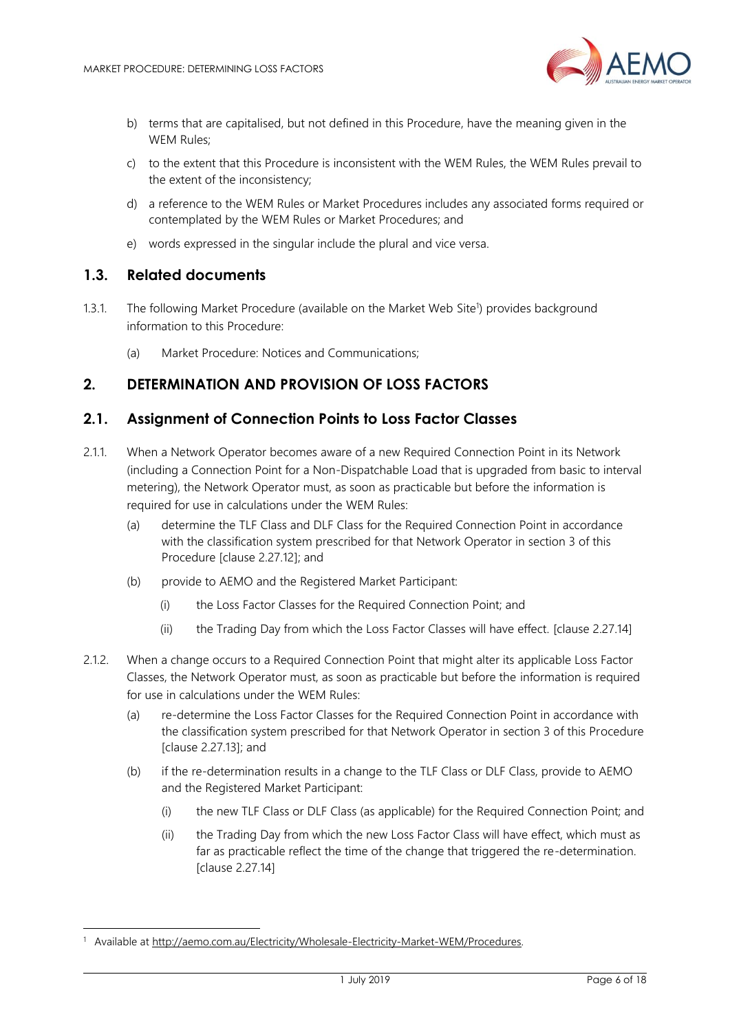

- b) terms that are capitalised, but not defined in this Procedure, have the meaning given in the WEM Rules;
- c) to the extent that this Procedure is inconsistent with the WEM Rules, the WEM Rules prevail to the extent of the inconsistency;
- d) a reference to the WEM Rules or Market Procedures includes any associated forms required or contemplated by the WEM Rules or Market Procedures; and
- e) words expressed in the singular include the plural and vice versa.

#### <span id="page-5-0"></span>**1.3. Related documents**

l

- 1.3.1. The following Market Procedure (available on the Market Web Site<sup>1</sup>) provides background information to this Procedure:
	- (a) Market Procedure: Notices and Communications;

# <span id="page-5-1"></span>**2. DETERMINATION AND PROVISION OF LOSS FACTORS**

#### <span id="page-5-2"></span>**2.1. Assignment of Connection Points to Loss Factor Classes**

- 2.1.1. When a Network Operator becomes aware of a new Required Connection Point in its Network (including a Connection Point for a Non-Dispatchable Load that is upgraded from basic to interval metering), the Network Operator must, as soon as practicable but before the information is required for use in calculations under the WEM Rules:
	- (a) determine the TLF Class and DLF Class for the Required Connection Point in accordance with the classification system prescribed for that Network Operator in section 3 of this Procedure [clause 2.27.12]; and
	- (b) provide to AEMO and the Registered Market Participant:
		- (i) the Loss Factor Classes for the Required Connection Point; and
		- (ii) the Trading Day from which the Loss Factor Classes will have effect. [clause 2.27.14]
- 2.1.2. When a change occurs to a Required Connection Point that might alter its applicable Loss Factor Classes, the Network Operator must, as soon as practicable but before the information is required for use in calculations under the WEM Rules:
	- (a) re-determine the Loss Factor Classes for the Required Connection Point in accordance with the classification system prescribed for that Network Operator in section 3 of this Procedure [clause 2.27.13]; and
	- (b) if the re-determination results in a change to the TLF Class or DLF Class, provide to AEMO and the Registered Market Participant:
		- (i) the new TLF Class or DLF Class (as applicable) for the Required Connection Point; and
		- (ii) the Trading Day from which the new Loss Factor Class will have effect, which must as far as practicable reflect the time of the change that triggered the re-determination. [clause 2.27.14]

<sup>1</sup> Available at [http://aemo.com.au/Electricity/Wholesale-Electricity-Market-WEM/Procedures.](http://aemo.com.au/Electricity/Wholesale-Electricity-Market-WEM/Procedures)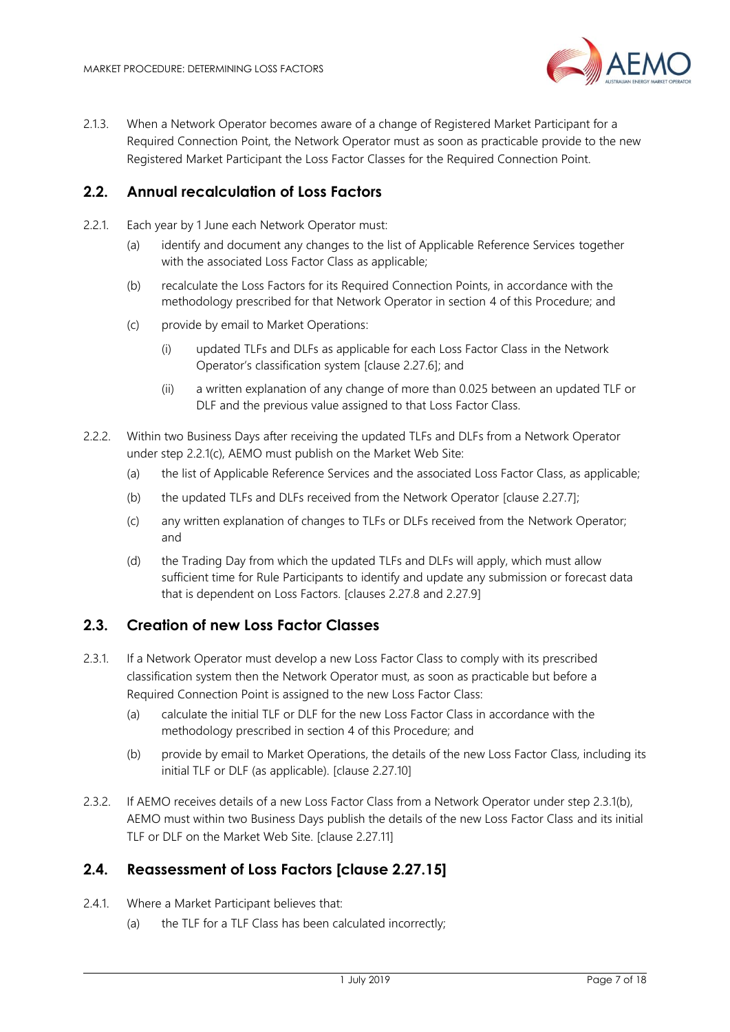

2.1.3. When a Network Operator becomes aware of a change of Registered Market Participant for a Required Connection Point, the Network Operator must as soon as practicable provide to the new Registered Market Participant the Loss Factor Classes for the Required Connection Point.

#### <span id="page-6-0"></span>**2.2. Annual recalculation of Loss Factors**

- 2.2.1. Each year by 1 June each Network Operator must:
	- (a) identify and document any changes to the list of Applicable Reference Services together with the associated Loss Factor Class as applicable;
	- (b) recalculate the Loss Factors for its Required Connection Points, in accordance with the methodology prescribed for that Network Operator in section 4 of this Procedure; and
	- (c) provide by email to Market Operations:
		- (i) updated TLFs and DLFs as applicable for each Loss Factor Class in the Network Operator's classification system [clause 2.27.6]; and
		- (ii) a written explanation of any change of more than 0.025 between an updated TLF or DLF and the previous value assigned to that Loss Factor Class.
- 2.2.2. Within two Business Days after receiving the updated TLFs and DLFs from a Network Operator under step 2.2.1(c), AEMO must publish on the Market Web Site:
	- (a) the list of Applicable Reference Services and the associated Loss Factor Class, as applicable;
	- (b) the updated TLFs and DLFs received from the Network Operator [clause 2.27.7];
	- (c) any written explanation of changes to TLFs or DLFs received from the Network Operator; and
	- (d) the Trading Day from which the updated TLFs and DLFs will apply, which must allow sufficient time for Rule Participants to identify and update any submission or forecast data that is dependent on Loss Factors. [clauses 2.27.8 and 2.27.9]

#### <span id="page-6-1"></span>**2.3. Creation of new Loss Factor Classes**

- 2.3.1. If a Network Operator must develop a new Loss Factor Class to comply with its prescribed classification system then the Network Operator must, as soon as practicable but before a Required Connection Point is assigned to the new Loss Factor Class:
	- (a) calculate the initial TLF or DLF for the new Loss Factor Class in accordance with the methodology prescribed in section 4 of this Procedure; and
	- (b) provide by email to Market Operations, the details of the new Loss Factor Class, including its initial TLF or DLF (as applicable). [clause 2.27.10]
- 2.3.2. If AEMO receives details of a new Loss Factor Class from a Network Operator under step 2.3.1(b), AEMO must within two Business Days publish the details of the new Loss Factor Class and its initial TLF or DLF on the Market Web Site. [clause 2.27.11]

#### <span id="page-6-2"></span>**2.4. Reassessment of Loss Factors [clause 2.27.15]**

- 2.4.1. Where a Market Participant believes that:
	- (a) the TLF for a TLF Class has been calculated incorrectly;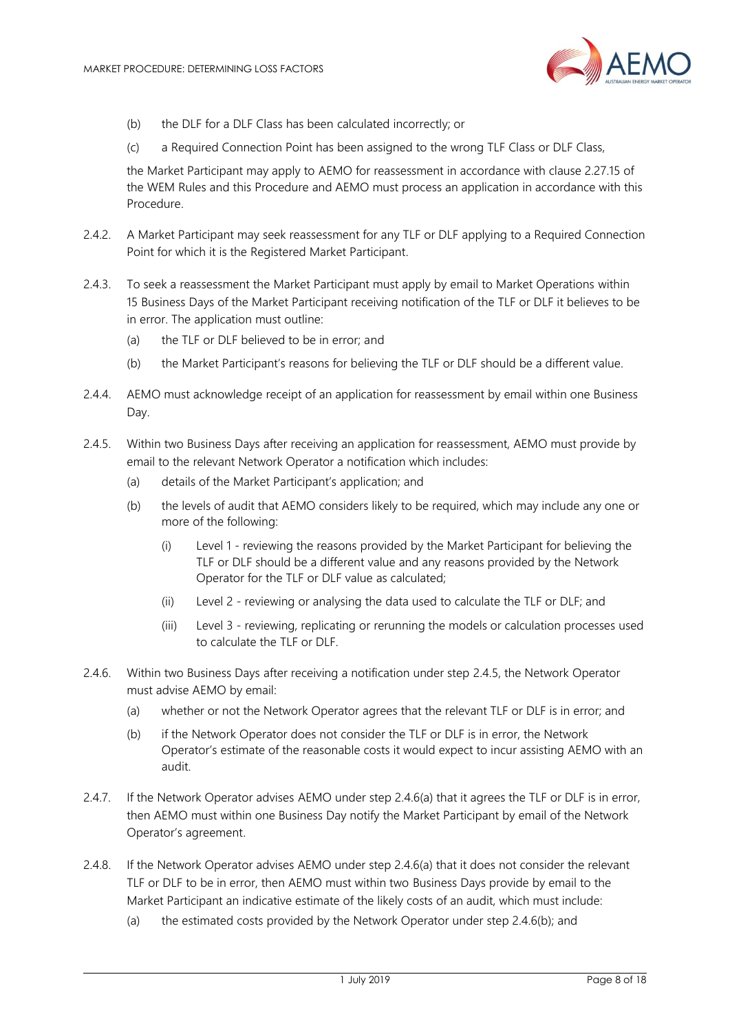

- (b) the DLF for a DLF Class has been calculated incorrectly; or
- (c) a Required Connection Point has been assigned to the wrong TLF Class or DLF Class,

the Market Participant may apply to AEMO for reassessment in accordance with clause 2.27.15 of the WEM Rules and this Procedure and AEMO must process an application in accordance with this Procedure.

- 2.4.2. A Market Participant may seek reassessment for any TLF or DLF applying to a Required Connection Point for which it is the Registered Market Participant.
- 2.4.3. To seek a reassessment the Market Participant must apply by email to Market Operations within 15 Business Days of the Market Participant receiving notification of the TLF or DLF it believes to be in error. The application must outline:
	- (a) the TLF or DLF believed to be in error; and
	- (b) the Market Participant's reasons for believing the TLF or DLF should be a different value.
- 2.4.4. AEMO must acknowledge receipt of an application for reassessment by email within one Business Day.
- 2.4.5. Within two Business Days after receiving an application for reassessment, AEMO must provide by email to the relevant Network Operator a notification which includes:
	- (a) details of the Market Participant's application; and
	- (b) the levels of audit that AEMO considers likely to be required, which may include any one or more of the following:
		- (i) Level 1 reviewing the reasons provided by the Market Participant for believing the TLF or DLF should be a different value and any reasons provided by the Network Operator for the TLF or DLF value as calculated;
		- (ii) Level 2 reviewing or analysing the data used to calculate the TLF or DLF; and
		- (iii) Level 3 reviewing, replicating or rerunning the models or calculation processes used to calculate the TLF or DLF.
- 2.4.6. Within two Business Days after receiving a notification under step 2.4.5, the Network Operator must advise AEMO by email:
	- (a) whether or not the Network Operator agrees that the relevant TLF or DLF is in error; and
	- (b) if the Network Operator does not consider the TLF or DLF is in error, the Network Operator's estimate of the reasonable costs it would expect to incur assisting AEMO with an audit.
- 2.4.7. If the Network Operator advises AEMO under step 2.4.6(a) that it agrees the TLF or DLF is in error, then AEMO must within one Business Day notify the Market Participant by email of the Network Operator's agreement.
- 2.4.8. If the Network Operator advises AEMO under step 2.4.6(a) that it does not consider the relevant TLF or DLF to be in error, then AEMO must within two Business Days provide by email to the Market Participant an indicative estimate of the likely costs of an audit, which must include:
	- (a) the estimated costs provided by the Network Operator under step 2.4.6(b); and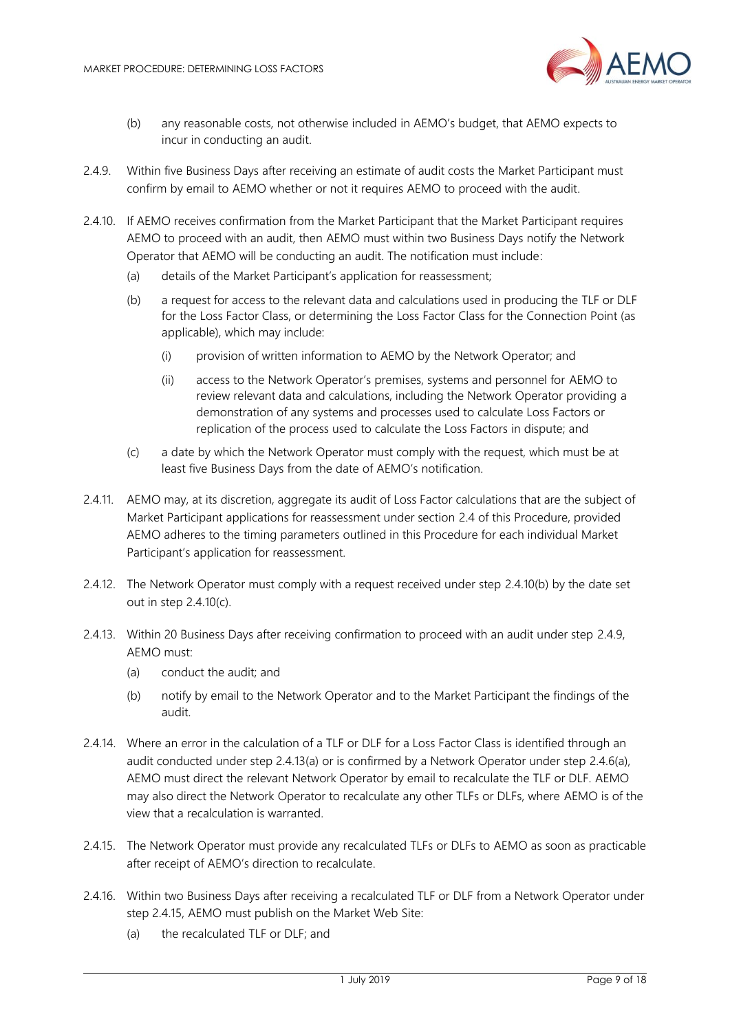

- (b) any reasonable costs, not otherwise included in AEMO's budget, that AEMO expects to incur in conducting an audit.
- 2.4.9. Within five Business Days after receiving an estimate of audit costs the Market Participant must confirm by email to AEMO whether or not it requires AEMO to proceed with the audit.
- 2.4.10. If AEMO receives confirmation from the Market Participant that the Market Participant requires AEMO to proceed with an audit, then AEMO must within two Business Days notify the Network Operator that AEMO will be conducting an audit. The notification must include:
	- (a) details of the Market Participant's application for reassessment;
	- (b) a request for access to the relevant data and calculations used in producing the TLF or DLF for the Loss Factor Class, or determining the Loss Factor Class for the Connection Point (as applicable), which may include:
		- (i) provision of written information to AEMO by the Network Operator; and
		- (ii) access to the Network Operator's premises, systems and personnel for AEMO to review relevant data and calculations, including the Network Operator providing a demonstration of any systems and processes used to calculate Loss Factors or replication of the process used to calculate the Loss Factors in dispute; and
	- (c) a date by which the Network Operator must comply with the request, which must be at least five Business Days from the date of AEMO's notification.
- 2.4.11. AEMO may, at its discretion, aggregate its audit of Loss Factor calculations that are the subject of Market Participant applications for reassessment under section 2.4 of this Procedure, provided AEMO adheres to the timing parameters outlined in this Procedure for each individual Market Participant's application for reassessment.
- 2.4.12. The Network Operator must comply with a request received under step 2.4.10(b) by the date set out in step 2.4.10(c).
- 2.4.13. Within 20 Business Days after receiving confirmation to proceed with an audit under step 2.4.9, AEMO must:
	- (a) conduct the audit; and
	- (b) notify by email to the Network Operator and to the Market Participant the findings of the audit.
- 2.4.14. Where an error in the calculation of a TLF or DLF for a Loss Factor Class is identified through an audit conducted under step 2.4.13(a) or is confirmed by a Network Operator under step 2.4.6(a), AEMO must direct the relevant Network Operator by email to recalculate the TLF or DLF. AEMO may also direct the Network Operator to recalculate any other TLFs or DLFs, where AEMO is of the view that a recalculation is warranted.
- 2.4.15. The Network Operator must provide any recalculated TLFs or DLFs to AEMO as soon as practicable after receipt of AEMO's direction to recalculate.
- 2.4.16. Within two Business Days after receiving a recalculated TLF or DLF from a Network Operator under step 2.4.15, AEMO must publish on the Market Web Site:
	- (a) the recalculated TLF or DLF; and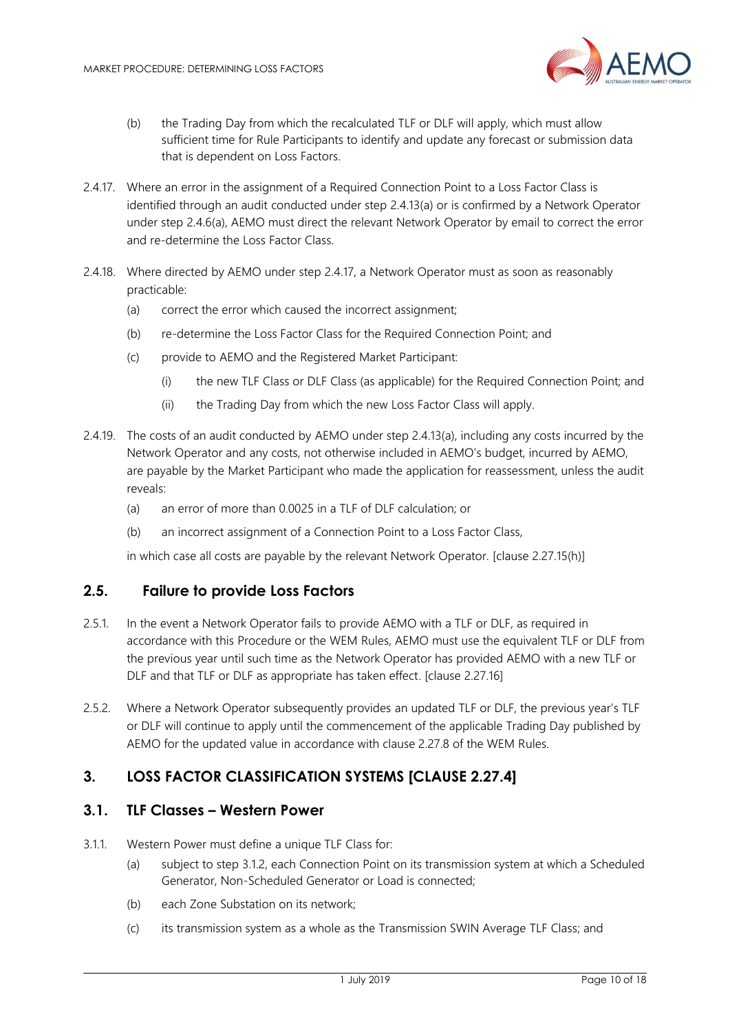

- (b) the Trading Day from which the recalculated TLF or DLF will apply, which must allow sufficient time for Rule Participants to identify and update any forecast or submission data that is dependent on Loss Factors.
- 2.4.17. Where an error in the assignment of a Required Connection Point to a Loss Factor Class is identified through an audit conducted under step 2.4.13(a) or is confirmed by a Network Operator under step 2.4.6(a), AEMO must direct the relevant Network Operator by email to correct the error and re-determine the Loss Factor Class.
- 2.4.18. Where directed by AEMO under step 2.4.17, a Network Operator must as soon as reasonably practicable:
	- (a) correct the error which caused the incorrect assignment;
	- (b) re-determine the Loss Factor Class for the Required Connection Point; and
	- (c) provide to AEMO and the Registered Market Participant:
		- (i) the new TLF Class or DLF Class (as applicable) for the Required Connection Point; and
		- (ii) the Trading Day from which the new Loss Factor Class will apply.
- 2.4.19. The costs of an audit conducted by AEMO under step 2.4.13(a), including any costs incurred by the Network Operator and any costs, not otherwise included in AEMO's budget, incurred by AEMO, are payable by the Market Participant who made the application for reassessment, unless the audit reveals:
	- (a) an error of more than 0.0025 in a TLF of DLF calculation; or
	- (b) an incorrect assignment of a Connection Point to a Loss Factor Class,

in which case all costs are payable by the relevant Network Operator. [clause 2.27.15(h)]

#### <span id="page-9-0"></span>**2.5. Failure to provide Loss Factors**

- 2.5.1. In the event a Network Operator fails to provide AEMO with a TLF or DLF, as required in accordance with this Procedure or the WEM Rules, AEMO must use the equivalent TLF or DLF from the previous year until such time as the Network Operator has provided AEMO with a new TLF or DLF and that TLF or DLF as appropriate has taken effect. [clause 2.27.16]
- 2.5.2. Where a Network Operator subsequently provides an updated TLF or DLF, the previous year's TLF or DLF will continue to apply until the commencement of the applicable Trading Day published by AEMO for the updated value in accordance with clause 2.27.8 of the WEM Rules.

# <span id="page-9-1"></span>**3. LOSS FACTOR CLASSIFICATION SYSTEMS [CLAUSE 2.27.4]**

#### <span id="page-9-2"></span>**3.1. TLF Classes – Western Power**

- <span id="page-9-3"></span>3.1.1. Western Power must define a unique TLF Class for:
	- (a) subject to step 3.1.2, each Connection Point on its transmission system at which a Scheduled Generator, Non-Scheduled Generator or Load is connected;
	- (b) each Zone Substation on its network;
	- (c) its transmission system as a whole as the Transmission SWIN Average TLF Class; and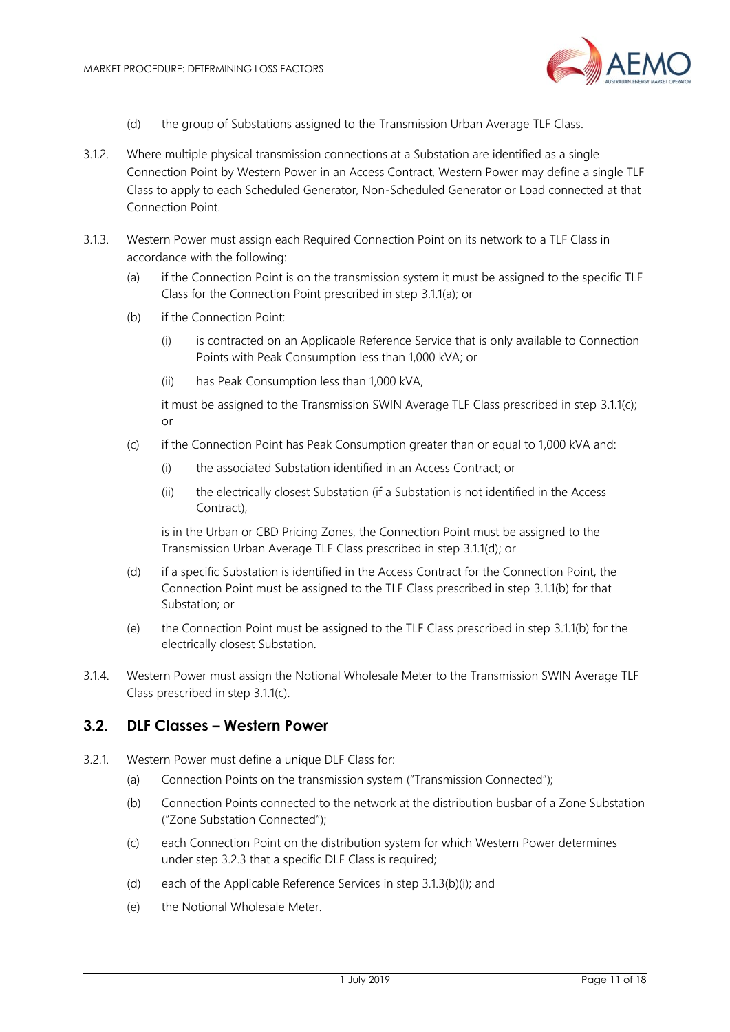

- (d) the group of Substations assigned to the Transmission Urban Average TLF Class.
- 3.1.2. Where multiple physical transmission connections at a Substation are identified as a single Connection Point by Western Power in an Access Contract, Western Power may define a single TLF Class to apply to each Scheduled Generator, Non-Scheduled Generator or Load connected at that Connection Point.
- 3.1.3. Western Power must assign each Required Connection Point on its network to a TLF Class in accordance with the following:
	- (a) if the Connection Point is on the transmission system it must be assigned to the specific TLF Class for the Connection Point prescribed in step 3.1.1(a); or
	- (b) if the Connection Point:
		- (i) is contracted on an Applicable Reference Service that is only available to Connection Points with Peak Consumption less than 1,000 kVA; or
		- (ii) has Peak Consumption less than 1,000 kVA,

it must be assigned to the Transmission SWIN Average TLF Class prescribed in step 3.1.1(c); or

- (c) if the Connection Point has Peak Consumption greater than or equal to 1,000 kVA and:
	- (i) the associated Substation identified in an Access Contract; or
	- (ii) the electrically closest Substation (if a Substation is not identified in the Access Contract),

is in the Urban or CBD Pricing Zones, the Connection Point must be assigned to the Transmission Urban Average TLF Class prescribed in step 3.1.1(d); or

- (d) if a specific Substation is identified in the Access Contract for the Connection Point, the Connection Point must be assigned to the TLF Class prescribed in step 3.1.1(b) for that Substation; or
- (e) the Connection Point must be assigned to the TLF Class prescribed in step 3.1.1(b) for the electrically closest Substation.
- 3.1.4. Western Power must assign the Notional Wholesale Meter to the Transmission SWIN Average TLF Class prescribed in step 3.1.1(c).

#### <span id="page-10-0"></span>**3.2. DLF Classes – Western Power**

- 3.2.1. Western Power must define a unique DLF Class for:
	- (a) Connection Points on the transmission system ("Transmission Connected");
	- (b) Connection Points connected to the network at the distribution busbar of a Zone Substation ("Zone Substation Connected");
	- (c) each Connection Point on the distribution system for which Western Power determines under step 3.2.3 that a specific DLF Class is required;
	- (d) each of the Applicable Reference Services in step 3.1.3(b)(i); and
	- (e) the Notional Wholesale Meter.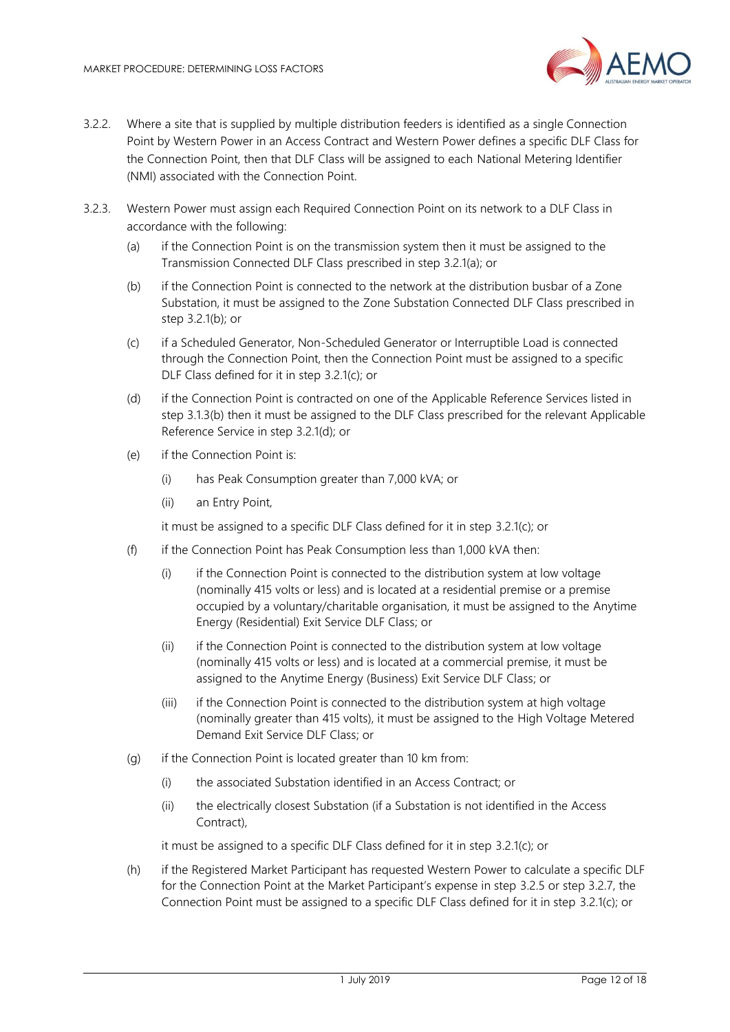

- 3.2.2. Where a site that is supplied by multiple distribution feeders is identified as a single Connection Point by Western Power in an Access Contract and Western Power defines a specific DLF Class for the Connection Point, then that DLF Class will be assigned to each National Metering Identifier (NMI) associated with the Connection Point.
- 3.2.3. Western Power must assign each Required Connection Point on its network to a DLF Class in accordance with the following:
	- (a) if the Connection Point is on the transmission system then it must be assigned to the Transmission Connected DLF Class prescribed in step 3.2.1(a); or
	- (b) if the Connection Point is connected to the network at the distribution busbar of a Zone Substation, it must be assigned to the Zone Substation Connected DLF Class prescribed in step 3.2.1(b); or
	- (c) if a Scheduled Generator, Non-Scheduled Generator or Interruptible Load is connected through the Connection Point, then the Connection Point must be assigned to a specific DLF Class defined for it in step 3.2.1(c); or
	- (d) if the Connection Point is contracted on one of the Applicable Reference Services listed in step 3.1.3(b) then it must be assigned to the DLF Class prescribed for the relevant Applicable Reference Service in step 3.2.1(d); or
	- (e) if the Connection Point is:
		- (i) has Peak Consumption greater than 7,000 kVA; or
		- (ii) an Entry Point,

it must be assigned to a specific DLF Class defined for it in step 3.2.1(c); or

- (f) if the Connection Point has Peak Consumption less than 1,000 kVA then:
	- (i) if the Connection Point is connected to the distribution system at low voltage (nominally 415 volts or less) and is located at a residential premise or a premise occupied by a voluntary/charitable organisation, it must be assigned to the Anytime Energy (Residential) Exit Service DLF Class; or
	- (ii) if the Connection Point is connected to the distribution system at low voltage (nominally 415 volts or less) and is located at a commercial premise, it must be assigned to the Anytime Energy (Business) Exit Service DLF Class; or
	- (iii) if the Connection Point is connected to the distribution system at high voltage (nominally greater than 415 volts), it must be assigned to the High Voltage Metered Demand Exit Service DLF Class; or
- (g) if the Connection Point is located greater than 10 km from:
	- (i) the associated Substation identified in an Access Contract; or
	- (ii) the electrically closest Substation (if a Substation is not identified in the Access Contract),

it must be assigned to a specific DLF Class defined for it in step 3.2.1(c); or

(h) if the Registered Market Participant has requested Western Power to calculate a specific DLF for the Connection Point at the Market Participant's expense in step 3.2.5 or step 3.2.7, the Connection Point must be assigned to a specific DLF Class defined for it in step 3.2.1(c); or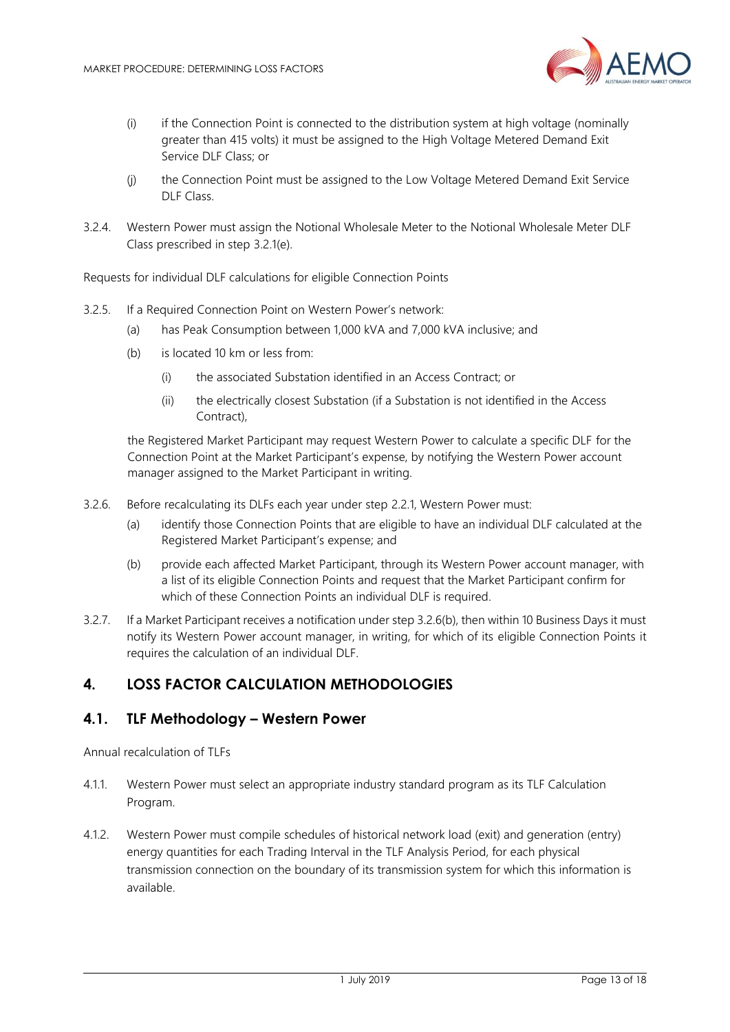

- (i) if the Connection Point is connected to the distribution system at high voltage (nominally greater than 415 volts) it must be assigned to the High Voltage Metered Demand Exit Service DLF Class; or
- (j) the Connection Point must be assigned to the Low Voltage Metered Demand Exit Service DLF Class.
- 3.2.4. Western Power must assign the Notional Wholesale Meter to the Notional Wholesale Meter DLF Class prescribed in step 3.2.1(e).

Requests for individual DLF calculations for eligible Connection Points

- 3.2.5. If a Required Connection Point on Western Power's network:
	- (a) has Peak Consumption between 1,000 kVA and 7,000 kVA inclusive; and
	- (b) is located 10 km or less from:
		- (i) the associated Substation identified in an Access Contract; or
		- (ii) the electrically closest Substation (if a Substation is not identified in the Access Contract),

the Registered Market Participant may request Western Power to calculate a specific DLF for the Connection Point at the Market Participant's expense, by notifying the Western Power account manager assigned to the Market Participant in writing.

- 3.2.6. Before recalculating its DLFs each year under step 2.2.1, Western Power must:
	- (a) identify those Connection Points that are eligible to have an individual DLF calculated at the Registered Market Participant's expense; and
	- (b) provide each affected Market Participant, through its Western Power account manager, with a list of its eligible Connection Points and request that the Market Participant confirm for which of these Connection Points an individual DLF is required.
- 3.2.7. If a Market Participant receives a notification under step 3.2.6(b), then within 10 Business Days it must notify its Western Power account manager, in writing, for which of its eligible Connection Points it requires the calculation of an individual DLF.

# <span id="page-12-0"></span>**4. LOSS FACTOR CALCULATION METHODOLOGIES**

#### <span id="page-12-1"></span>**4.1. TLF Methodology – Western Power**

Annual recalculation of TLFs

- 4.1.1. Western Power must select an appropriate industry standard program as its TLF Calculation Program.
- 4.1.2. Western Power must compile schedules of historical network load (exit) and generation (entry) energy quantities for each Trading Interval in the TLF Analysis Period, for each physical transmission connection on the boundary of its transmission system for which this information is available.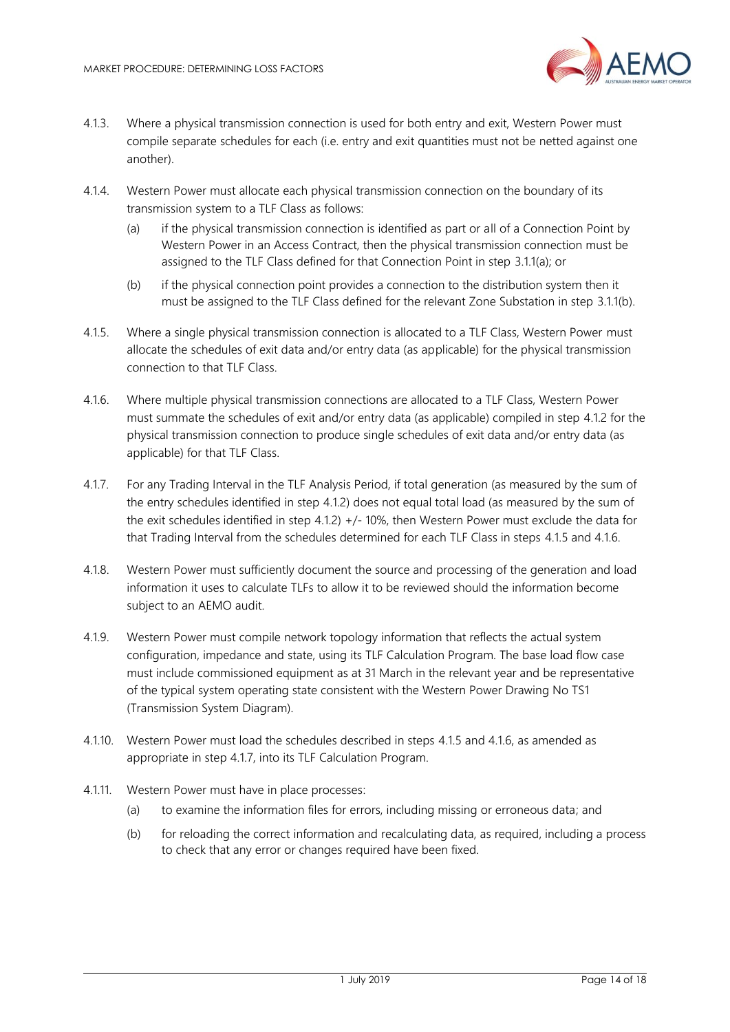

- 4.1.3. Where a physical transmission connection is used for both entry and exit, Western Power must compile separate schedules for each (i.e. entry and exit quantities must not be netted against one another).
- 4.1.4. Western Power must allocate each physical transmission connection on the boundary of its transmission system to a TLF Class as follows:
	- (a) if the physical transmission connection is identified as part or all of a Connection Point by Western Power in an Access Contract, then the physical transmission connection must be assigned to the TLF Class defined for that Connection Point in step 3.1.1(a); or
	- (b) if the physical connection point provides a connection to the distribution system then it must be assigned to the TLF Class defined for the relevant Zone Substation in step 3.1.1(b).
- 4.1.5. Where a single physical transmission connection is allocated to a TLF Class, Western Power must allocate the schedules of exit data and/or entry data (as applicable) for the physical transmission connection to that TLF Class.
- 4.1.6. Where multiple physical transmission connections are allocated to a TLF Class, Western Power must summate the schedules of exit and/or entry data (as applicable) compiled in step 4.1.2 for the physical transmission connection to produce single schedules of exit data and/or entry data (as applicable) for that TLF Class.
- 4.1.7. For any Trading Interval in the TLF Analysis Period, if total generation (as measured by the sum of the entry schedules identified in step 4.1.2) does not equal total load (as measured by the sum of the exit schedules identified in step 4.1.2) +/- 10%, then Western Power must exclude the data for that Trading Interval from the schedules determined for each TLF Class in steps 4.1.5 and 4.1.6.
- 4.1.8. Western Power must sufficiently document the source and processing of the generation and load information it uses to calculate TLFs to allow it to be reviewed should the information become subject to an AEMO audit.
- 4.1.9. Western Power must compile network topology information that reflects the actual system configuration, impedance and state, using its TLF Calculation Program. The base load flow case must include commissioned equipment as at 31 March in the relevant year and be representative of the typical system operating state consistent with the Western Power Drawing No TS1 (Transmission System Diagram).
- 4.1.10. Western Power must load the schedules described in steps 4.1.5 and 4.1.6, as amended as appropriate in step 4.1.7, into its TLF Calculation Program.
- 4.1.11. Western Power must have in place processes:
	- (a) to examine the information files for errors, including missing or erroneous data; and
	- (b) for reloading the correct information and recalculating data, as required, including a process to check that any error or changes required have been fixed.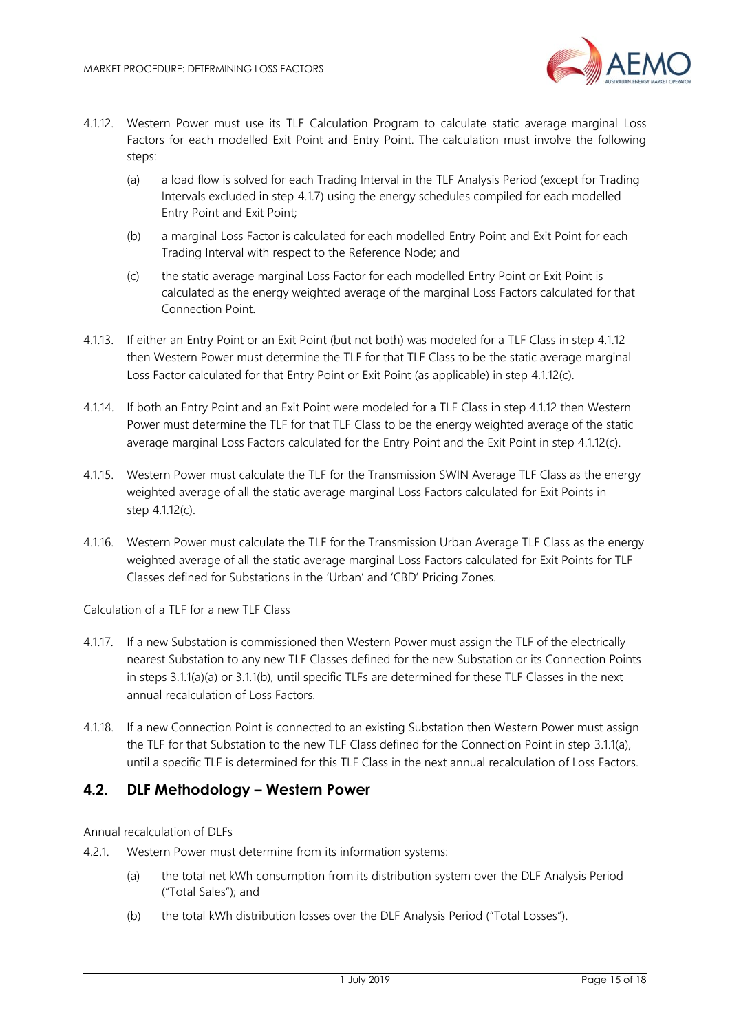

- 4.1.12. Western Power must use its TLF Calculation Program to calculate static average marginal Loss Factors for each modelled Exit Point and Entry Point. The calculation must involve the following steps:
	- (a) a load flow is solved for each Trading Interval in the TLF Analysis Period (except for Trading Intervals excluded in step 4.1.7) using the energy schedules compiled for each modelled Entry Point and Exit Point;
	- (b) a marginal Loss Factor is calculated for each modelled Entry Point and Exit Point for each Trading Interval with respect to the Reference Node; and
	- (c) the static average marginal Loss Factor for each modelled Entry Point or Exit Point is calculated as the energy weighted average of the marginal Loss Factors calculated for that Connection Point.
- 4.1.13. If either an Entry Point or an Exit Point (but not both) was modeled for a TLF Class in step 4.1.12 then Western Power must determine the TLF for that TLF Class to be the static average marginal Loss Factor calculated for that Entry Point or Exit Point (as applicable) in step 4.1.12(c).
- 4.1.14. If both an Entry Point and an Exit Point were modeled for a TLF Class in step 4.1.12 then Western Power must determine the TLF for that TLF Class to be the energy weighted average of the static average marginal Loss Factors calculated for the Entry Point and the Exit Point in step 4.1.12(c).
- 4.1.15. Western Power must calculate the TLF for the Transmission SWIN Average TLF Class as the energy weighted average of all the static average marginal Loss Factors calculated for Exit Points in step 4.1.12(c).
- 4.1.16. Western Power must calculate the TLF for the Transmission Urban Average TLF Class as the energy weighted average of all the static average marginal Loss Factors calculated for Exit Points for TLF Classes defined for Substations in the 'Urban' and 'CBD' Pricing Zones.

Calculation of a TLF for a new TLF Class

- 4.1.17. If a new Substation is commissioned then Western Power must assign the TLF of the electrically nearest Substation to any new TLF Classes defined for the new Substation or its Connection Points in steps 3.1.1(a[\)\(a\)](#page-9-3) or 3.1.1(b), until specific TLFs are determined for these TLF Classes in the next annual recalculation of Loss Factors.
- 4.1.18. If a new Connection Point is connected to an existing Substation then Western Power must assign the TLF for that Substation to the new TLF Class defined for the Connection Point in step 3.1.1(a), until a specific TLF is determined for this TLF Class in the next annual recalculation of Loss Factors.

#### <span id="page-14-0"></span>**4.2. DLF Methodology – Western Power**

Annual recalculation of DLFs

- 4.2.1. Western Power must determine from its information systems:
	- (a) the total net kWh consumption from its distribution system over the DLF Analysis Period ("Total Sales"); and
	- (b) the total kWh distribution losses over the DLF Analysis Period ("Total Losses").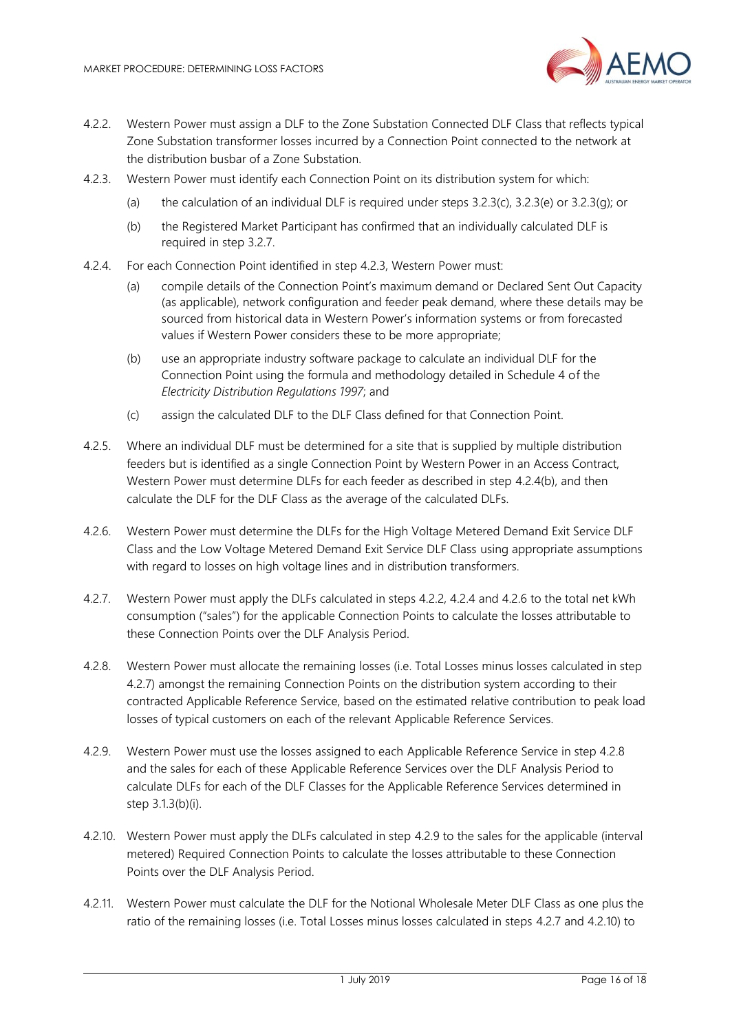

- 4.2.2. Western Power must assign a DLF to the Zone Substation Connected DLF Class that reflects typical Zone Substation transformer losses incurred by a Connection Point connected to the network at the distribution busbar of a Zone Substation.
- 4.2.3. Western Power must identify each Connection Point on its distribution system for which:
	- (a) the calculation of an individual DLF is required under steps  $3.2.3(c)$ ,  $3.2.3(e)$  or  $3.2.3(q)$ ; or
	- (b) the Registered Market Participant has confirmed that an individually calculated DLF is required in step 3.2.7.
- 4.2.4. For each Connection Point identified in step 4.2.3, Western Power must:
	- (a) compile details of the Connection Point's maximum demand or Declared Sent Out Capacity (as applicable), network configuration and feeder peak demand, where these details may be sourced from historical data in Western Power's information systems or from forecasted values if Western Power considers these to be more appropriate;
	- (b) use an appropriate industry software package to calculate an individual DLF for the Connection Point using the formula and methodology detailed in Schedule 4 of the *Electricity Distribution Regulations 1997*; and
	- (c) assign the calculated DLF to the DLF Class defined for that Connection Point.
- 4.2.5. Where an individual DLF must be determined for a site that is supplied by multiple distribution feeders but is identified as a single Connection Point by Western Power in an Access Contract, Western Power must determine DLFs for each feeder as described in step 4.2.4(b), and then calculate the DLF for the DLF Class as the average of the calculated DLFs.
- 4.2.6. Western Power must determine the DLFs for the High Voltage Metered Demand Exit Service DLF Class and the Low Voltage Metered Demand Exit Service DLF Class using appropriate assumptions with regard to losses on high voltage lines and in distribution transformers.
- 4.2.7. Western Power must apply the DLFs calculated in steps 4.2.2, 4.2.4 and 4.2.6 to the total net kWh consumption ("sales") for the applicable Connection Points to calculate the losses attributable to these Connection Points over the DLF Analysis Period.
- 4.2.8. Western Power must allocate the remaining losses (i.e. Total Losses minus losses calculated in step 4.2.7) amongst the remaining Connection Points on the distribution system according to their contracted Applicable Reference Service, based on the estimated relative contribution to peak load losses of typical customers on each of the relevant Applicable Reference Services.
- 4.2.9. Western Power must use the losses assigned to each Applicable Reference Service in step 4.2.8 and the sales for each of these Applicable Reference Services over the DLF Analysis Period to calculate DLFs for each of the DLF Classes for the Applicable Reference Services determined in step 3.1.3(b)(i).
- 4.2.10. Western Power must apply the DLFs calculated in step 4.2.9 to the sales for the applicable (interval metered) Required Connection Points to calculate the losses attributable to these Connection Points over the DLF Analysis Period.
- 4.2.11. Western Power must calculate the DLF for the Notional Wholesale Meter DLF Class as one plus the ratio of the remaining losses (i.e. Total Losses minus losses calculated in steps 4.2.7 and 4.2.10) to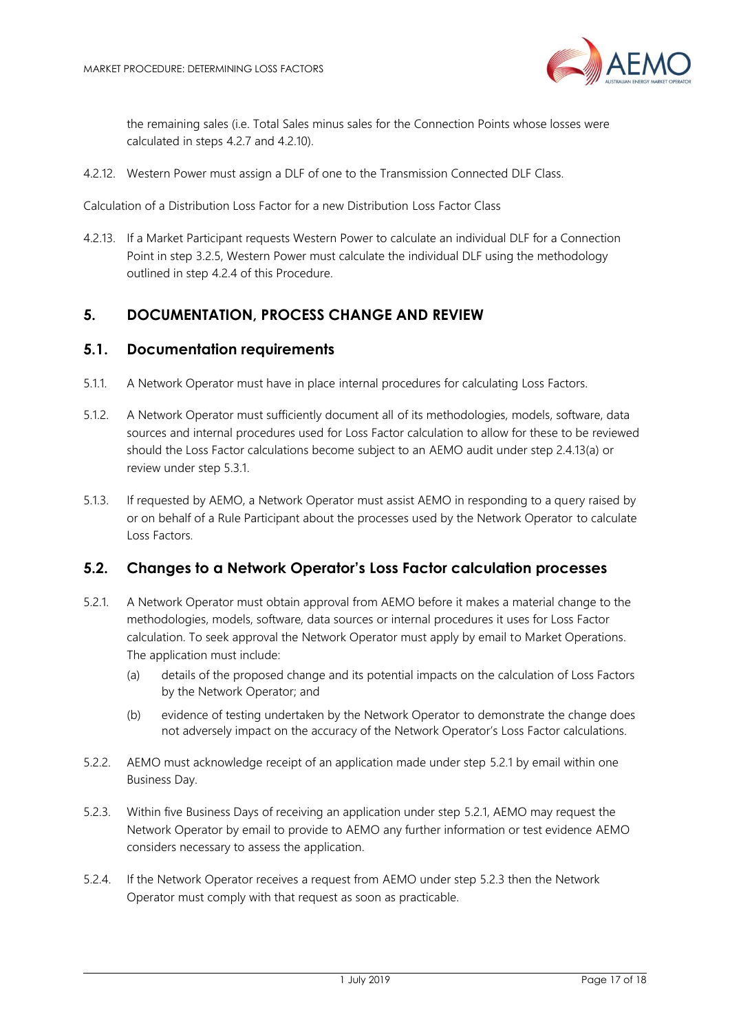

the remaining sales (i.e. Total Sales minus sales for the Connection Points whose losses were calculated in steps 4.2.7 and 4.2.10).

4.2.12. Western Power must assign a DLF of one to the Transmission Connected DLF Class.

Calculation of a Distribution Loss Factor for a new Distribution Loss Factor Class

4.2.13. If a Market Participant requests Western Power to calculate an individual DLF for a Connection Point in step 3.2.5, Western Power must calculate the individual DLF using the methodology outlined in step 4.2.4 of this Procedure.

## <span id="page-16-0"></span>**5. DOCUMENTATION, PROCESS CHANGE AND REVIEW**

#### <span id="page-16-1"></span>**5.1. Documentation requirements**

- 5.1.1. A Network Operator must have in place internal procedures for calculating Loss Factors.
- 5.1.2. A Network Operator must sufficiently document all of its methodologies, models, software, data sources and internal procedures used for Loss Factor calculation to allow for these to be reviewed should the Loss Factor calculations become subject to an AEMO audit under step 2.4.13(a) or review under step 5.3.1.
- 5.1.3. If requested by AEMO, a Network Operator must assist AEMO in responding to a query raised by or on behalf of a Rule Participant about the processes used by the Network Operator to calculate Loss Factors.

#### <span id="page-16-2"></span>**5.2. Changes to a Network Operator's Loss Factor calculation processes**

- 5.2.1. A Network Operator must obtain approval from AEMO before it makes a material change to the methodologies, models, software, data sources or internal procedures it uses for Loss Factor calculation. To seek approval the Network Operator must apply by email to Market Operations. The application must include:
	- (a) details of the proposed change and its potential impacts on the calculation of Loss Factors by the Network Operator; and
	- (b) evidence of testing undertaken by the Network Operator to demonstrate the change does not adversely impact on the accuracy of the Network Operator's Loss Factor calculations.
- 5.2.2. AEMO must acknowledge receipt of an application made under step 5.2.1 by email within one Business Day.
- 5.2.3. Within five Business Days of receiving an application under step 5.2.1, AEMO may request the Network Operator by email to provide to AEMO any further information or test evidence AEMO considers necessary to assess the application.
- 5.2.4. If the Network Operator receives a request from AEMO under step 5.2.3 then the Network Operator must comply with that request as soon as practicable.